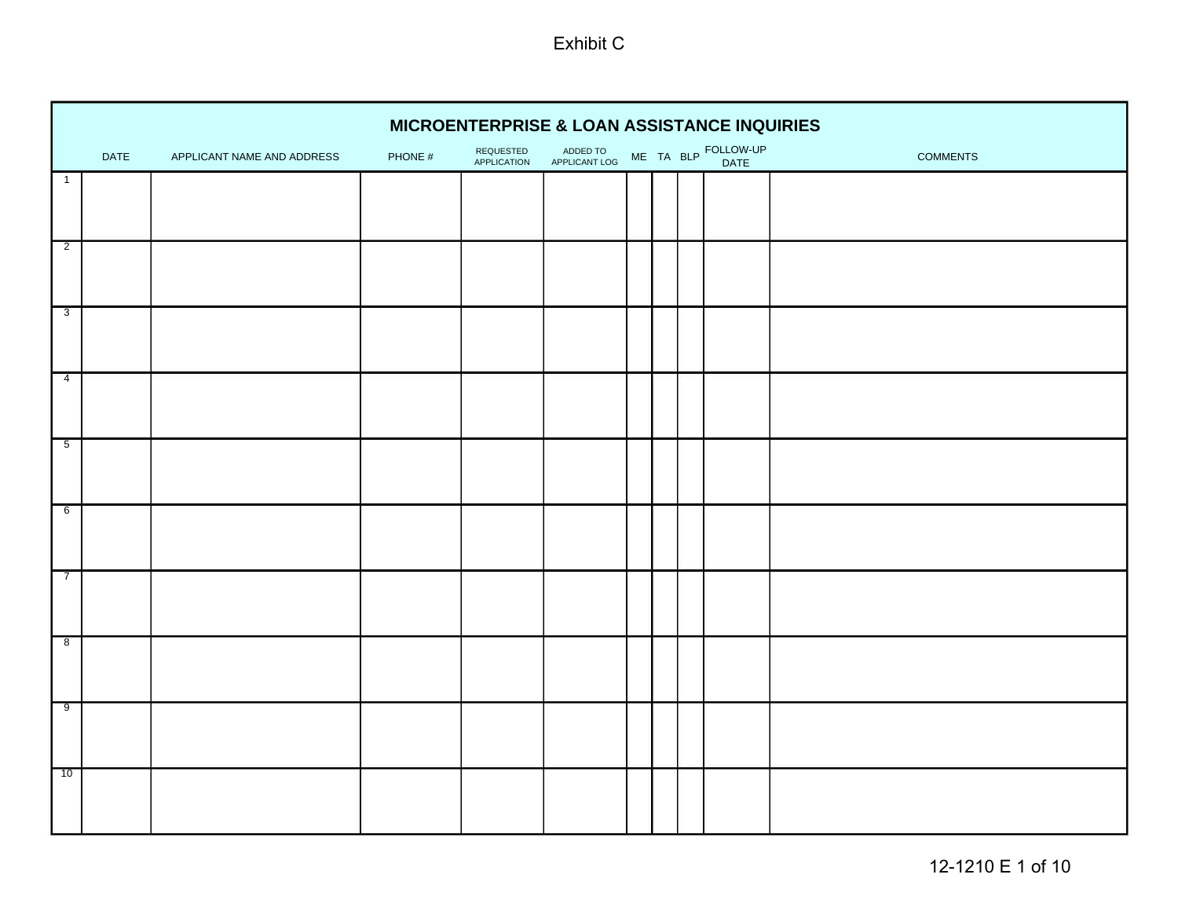|                     |      |                            |         | MICROENTERPRISE & LOAN ASSISTANCE INQUIRIES |                           |  |                             |                 |
|---------------------|------|----------------------------|---------|---------------------------------------------|---------------------------|--|-----------------------------|-----------------|
|                     | DATE | APPLICANT NAME AND ADDRESS | PHONE # | REQUESTED<br>APPLICATION                    | ADDED TO<br>APPLICANT LOG |  | ME TA BLP FOLLOW-UP<br>DATE | <b>COMMENTS</b> |
| $\overline{1}$      |      |                            |         |                                             |                           |  |                             |                 |
|                     |      |                            |         |                                             |                           |  |                             |                 |
| $\overline{2}$      |      |                            |         |                                             |                           |  |                             |                 |
| $\overline{3}$      |      |                            |         |                                             |                           |  |                             |                 |
|                     |      |                            |         |                                             |                           |  |                             |                 |
| $\overline{4}$      |      |                            |         |                                             |                           |  |                             |                 |
| $\overline{5}$      |      |                            |         |                                             |                           |  |                             |                 |
| 6                   |      |                            |         |                                             |                           |  |                             |                 |
| г<br>$\overline{7}$ |      |                            |         |                                             |                           |  |                             |                 |
| $\overline{8}$      |      |                            |         |                                             |                           |  |                             |                 |
| $\overline{9}$      |      |                            |         |                                             |                           |  |                             |                 |
| г<br>10             |      |                            |         |                                             |                           |  |                             |                 |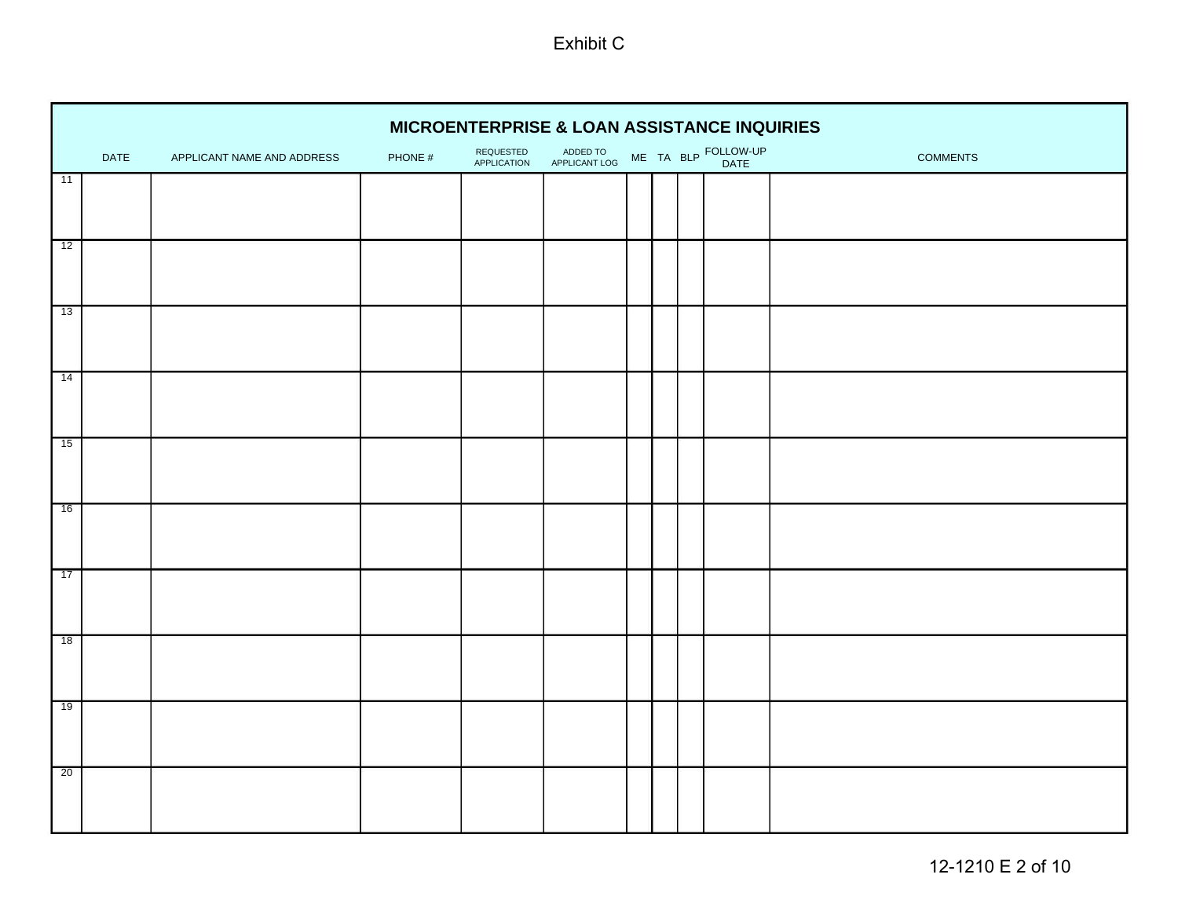|                 | MICROENTERPRISE & LOAN ASSISTANCE INQUIRIES<br>ME TA BLP FOLLOW-UP |                            |         |                                 |                           |  |  |  |      |                 |  |  |  |  |
|-----------------|--------------------------------------------------------------------|----------------------------|---------|---------------------------------|---------------------------|--|--|--|------|-----------------|--|--|--|--|
|                 | DATE                                                               | APPLICANT NAME AND ADDRESS | PHONE # | REQUESTED<br><b>APPLICATION</b> | ADDED TO<br>APPLICANT LOG |  |  |  | DATE | <b>COMMENTS</b> |  |  |  |  |
| 11              |                                                                    |                            |         |                                 |                           |  |  |  |      |                 |  |  |  |  |
|                 |                                                                    |                            |         |                                 |                           |  |  |  |      |                 |  |  |  |  |
| 12              |                                                                    |                            |         |                                 |                           |  |  |  |      |                 |  |  |  |  |
| $\overline{13}$ |                                                                    |                            |         |                                 |                           |  |  |  |      |                 |  |  |  |  |
| 14              |                                                                    |                            |         |                                 |                           |  |  |  |      |                 |  |  |  |  |
| 15              |                                                                    |                            |         |                                 |                           |  |  |  |      |                 |  |  |  |  |
| 16              |                                                                    |                            |         |                                 |                           |  |  |  |      |                 |  |  |  |  |
| 17              |                                                                    |                            |         |                                 |                           |  |  |  |      |                 |  |  |  |  |
| 18              |                                                                    |                            |         |                                 |                           |  |  |  |      |                 |  |  |  |  |
| 19              |                                                                    |                            |         |                                 |                           |  |  |  |      |                 |  |  |  |  |
| 20              |                                                                    |                            |         |                                 |                           |  |  |  |      |                 |  |  |  |  |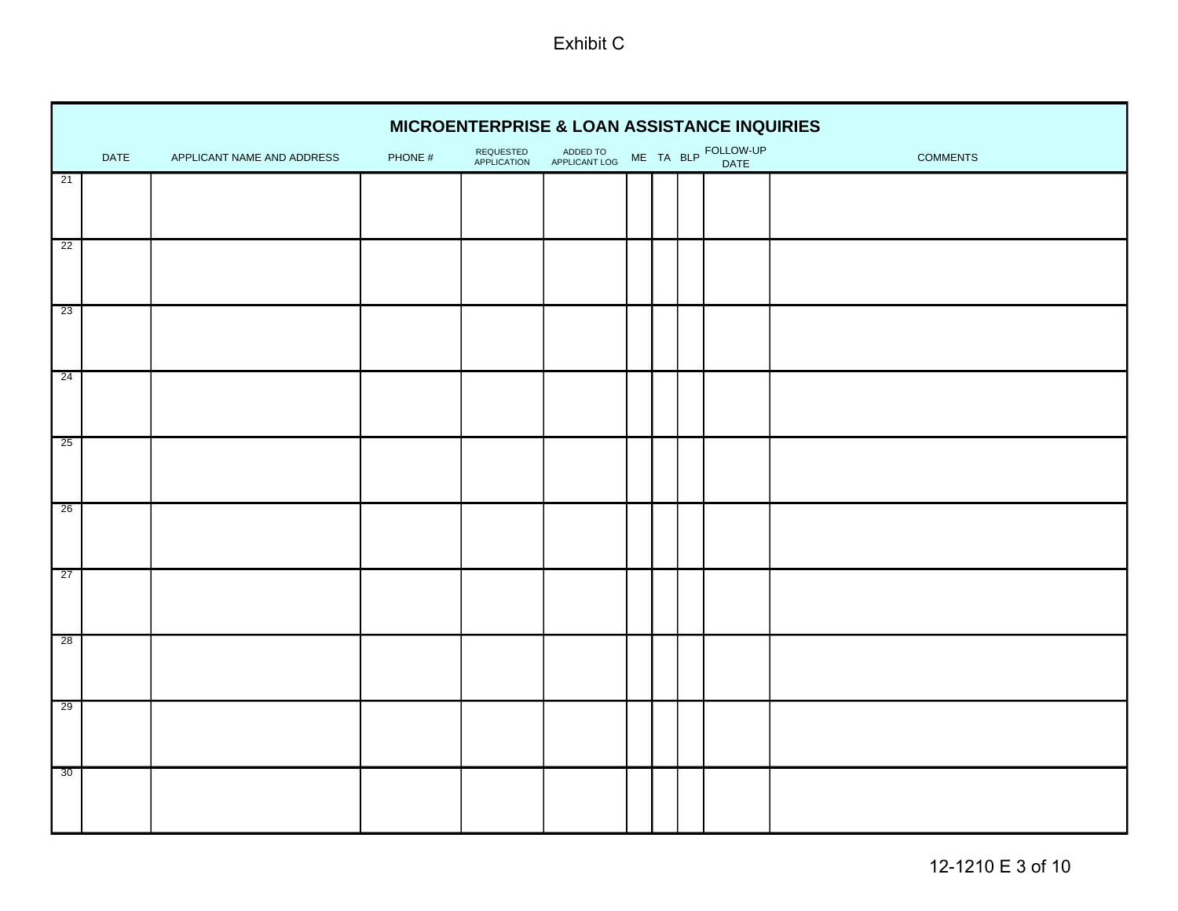|                 |      |                            |         | MICROENTERPRISE & LOAN ASSISTANCE INQUIRIES |                           |  |                             |          |
|-----------------|------|----------------------------|---------|---------------------------------------------|---------------------------|--|-----------------------------|----------|
|                 | DATE | APPLICANT NAME AND ADDRESS | PHONE # | REQUESTED<br>APPLICATION                    | ADDED TO<br>APPLICANT LOG |  | ME TA BLP FOLLOW-UP<br>DATE | COMMENTS |
| 21              |      |                            |         |                                             |                           |  |                             |          |
| $\overline{22}$ |      |                            |         |                                             |                           |  |                             |          |
| 23              |      |                            |         |                                             |                           |  |                             |          |
| 24              |      |                            |         |                                             |                           |  |                             |          |
| 25              |      |                            |         |                                             |                           |  |                             |          |
| 26              |      |                            |         |                                             |                           |  |                             |          |
| $\overline{27}$ |      |                            |         |                                             |                           |  |                             |          |
| 28              |      |                            |         |                                             |                           |  |                             |          |
| 29              |      |                            |         |                                             |                           |  |                             |          |
| 30              |      |                            |         |                                             |                           |  |                             |          |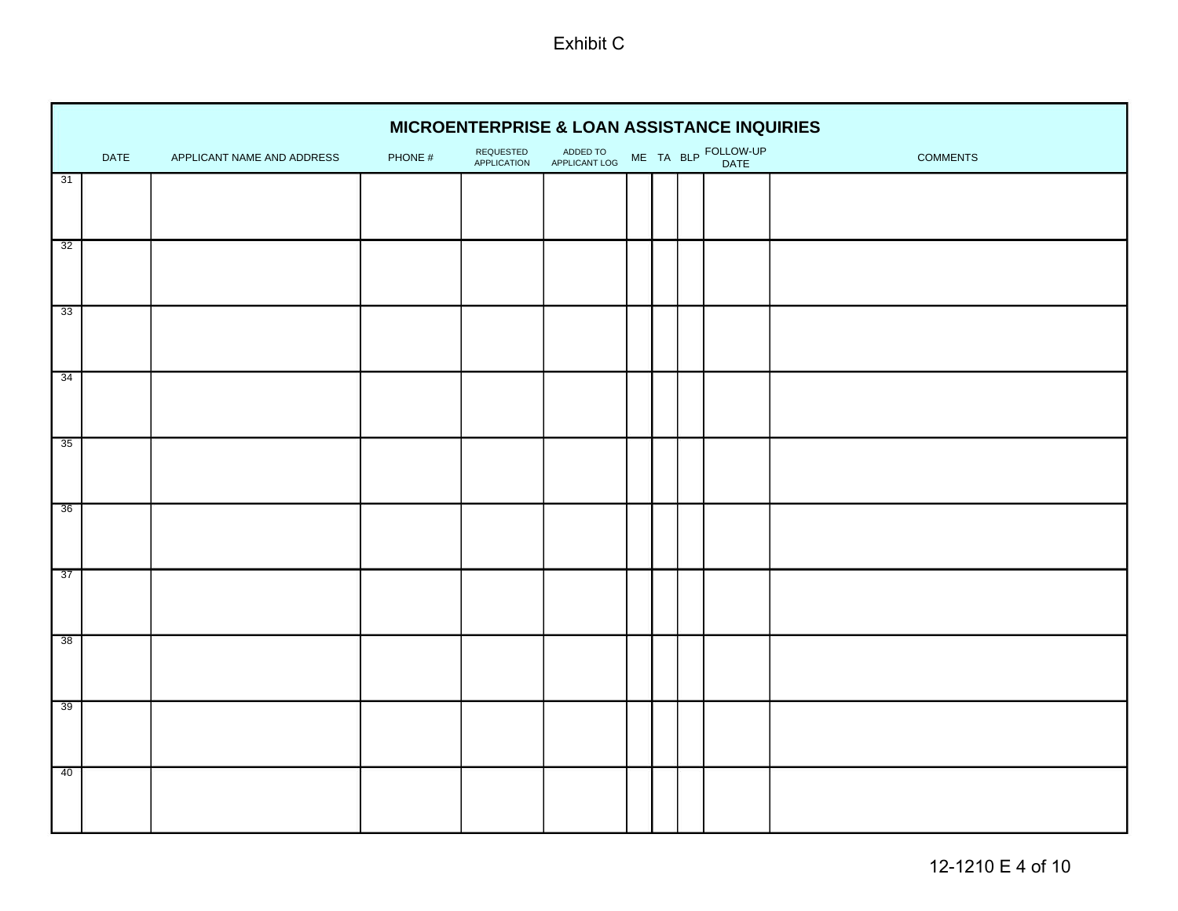|    | <b>MICROENTERPRISE &amp; LOAN ASSISTANCE INQUIRIES</b> |                            |         |                          |                           |  |  |  |                             |                 |  |  |  |  |
|----|--------------------------------------------------------|----------------------------|---------|--------------------------|---------------------------|--|--|--|-----------------------------|-----------------|--|--|--|--|
|    | DATE                                                   | APPLICANT NAME AND ADDRESS | PHONE # | REQUESTED<br>APPLICATION | ADDED TO<br>APPLICANT LOG |  |  |  | ME TA BLP FOLLOW-UP<br>DATE | <b>COMMENTS</b> |  |  |  |  |
| 31 |                                                        |                            |         |                          |                           |  |  |  |                             |                 |  |  |  |  |
|    |                                                        |                            |         |                          |                           |  |  |  |                             |                 |  |  |  |  |
| 32 |                                                        |                            |         |                          |                           |  |  |  |                             |                 |  |  |  |  |
| 33 |                                                        |                            |         |                          |                           |  |  |  |                             |                 |  |  |  |  |
| 34 |                                                        |                            |         |                          |                           |  |  |  |                             |                 |  |  |  |  |
| 35 |                                                        |                            |         |                          |                           |  |  |  |                             |                 |  |  |  |  |
| 36 |                                                        |                            |         |                          |                           |  |  |  |                             |                 |  |  |  |  |
| 37 |                                                        |                            |         |                          |                           |  |  |  |                             |                 |  |  |  |  |
| 38 |                                                        |                            |         |                          |                           |  |  |  |                             |                 |  |  |  |  |
| 39 |                                                        |                            |         |                          |                           |  |  |  |                             |                 |  |  |  |  |
| 40 |                                                        |                            |         |                          |                           |  |  |  |                             |                 |  |  |  |  |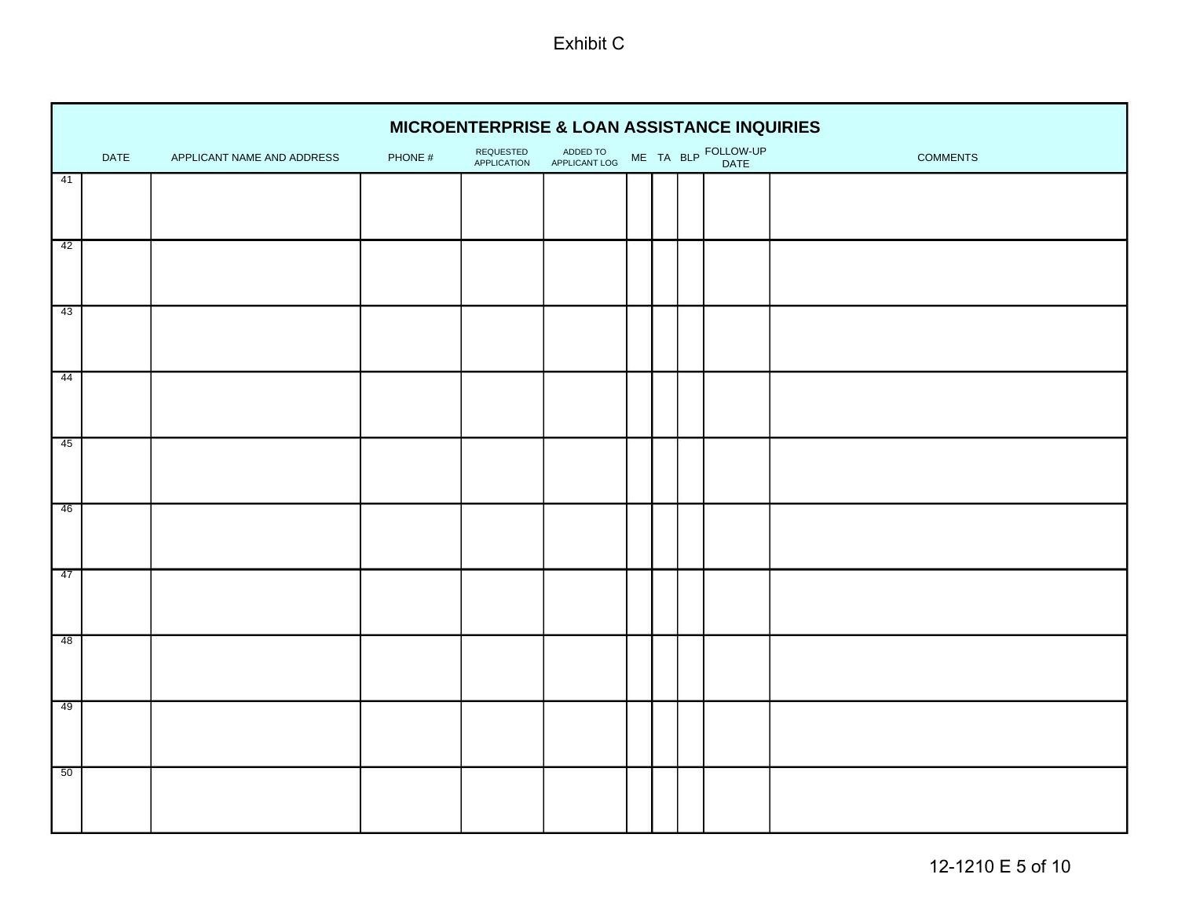|                 |      |                            |         |                          | MICROENTERPRISE & LOAN ASSISTANCE INQUIRIES |                                         |  |  |  |  |  |  |  |  |
|-----------------|------|----------------------------|---------|--------------------------|---------------------------------------------|-----------------------------------------|--|--|--|--|--|--|--|--|
|                 | DATE | APPLICANT NAME AND ADDRESS | PHONE # | REQUESTED<br>APPLICATION | ADDED TO<br>APPLICANT LOG                   | ME TA BLP FOLLOW-UP<br>COMMENTS<br>DATE |  |  |  |  |  |  |  |  |
| 41              |      |                            |         |                          |                                             |                                         |  |  |  |  |  |  |  |  |
|                 |      |                            |         |                          |                                             |                                         |  |  |  |  |  |  |  |  |
| 42              |      |                            |         |                          |                                             |                                         |  |  |  |  |  |  |  |  |
| г<br>43         |      |                            |         |                          |                                             |                                         |  |  |  |  |  |  |  |  |
| 44              |      |                            |         |                          |                                             |                                         |  |  |  |  |  |  |  |  |
| г<br>45         |      |                            |         |                          |                                             |                                         |  |  |  |  |  |  |  |  |
| 46              |      |                            |         |                          |                                             |                                         |  |  |  |  |  |  |  |  |
| $\overline{47}$ |      |                            |         |                          |                                             |                                         |  |  |  |  |  |  |  |  |
| 48              |      |                            |         |                          |                                             |                                         |  |  |  |  |  |  |  |  |
| 49              |      |                            |         |                          |                                             |                                         |  |  |  |  |  |  |  |  |
| 50              |      |                            |         |                          |                                             |                                         |  |  |  |  |  |  |  |  |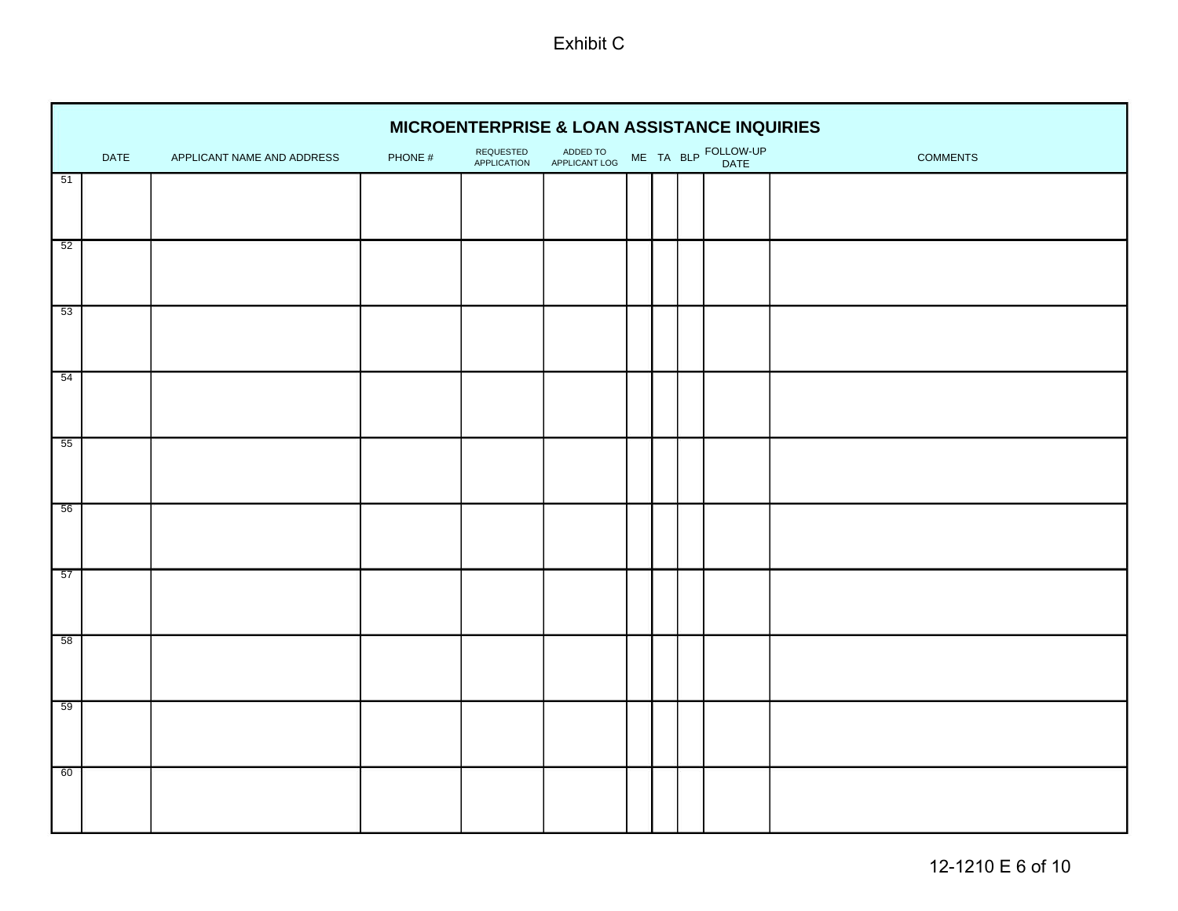|    | <b>MICROENTERPRISE &amp; LOAN ASSISTANCE INQUIRIES</b> |                            |         |                          |                           |  |  |  |                             |                 |  |  |  |  |
|----|--------------------------------------------------------|----------------------------|---------|--------------------------|---------------------------|--|--|--|-----------------------------|-----------------|--|--|--|--|
|    | DATE                                                   | APPLICANT NAME AND ADDRESS | PHONE # | REQUESTED<br>APPLICATION | ADDED TO<br>APPLICANT LOG |  |  |  | ME TA BLP FOLLOW-UP<br>DATE | <b>COMMENTS</b> |  |  |  |  |
| 51 |                                                        |                            |         |                          |                           |  |  |  |                             |                 |  |  |  |  |
|    |                                                        |                            |         |                          |                           |  |  |  |                             |                 |  |  |  |  |
| 52 |                                                        |                            |         |                          |                           |  |  |  |                             |                 |  |  |  |  |
| 53 |                                                        |                            |         |                          |                           |  |  |  |                             |                 |  |  |  |  |
| 54 |                                                        |                            |         |                          |                           |  |  |  |                             |                 |  |  |  |  |
| 55 |                                                        |                            |         |                          |                           |  |  |  |                             |                 |  |  |  |  |
| 56 |                                                        |                            |         |                          |                           |  |  |  |                             |                 |  |  |  |  |
| 57 |                                                        |                            |         |                          |                           |  |  |  |                             |                 |  |  |  |  |
| 58 |                                                        |                            |         |                          |                           |  |  |  |                             |                 |  |  |  |  |
| 59 |                                                        |                            |         |                          |                           |  |  |  |                             |                 |  |  |  |  |
| 60 |                                                        |                            |         |                          |                           |  |  |  |                             |                 |  |  |  |  |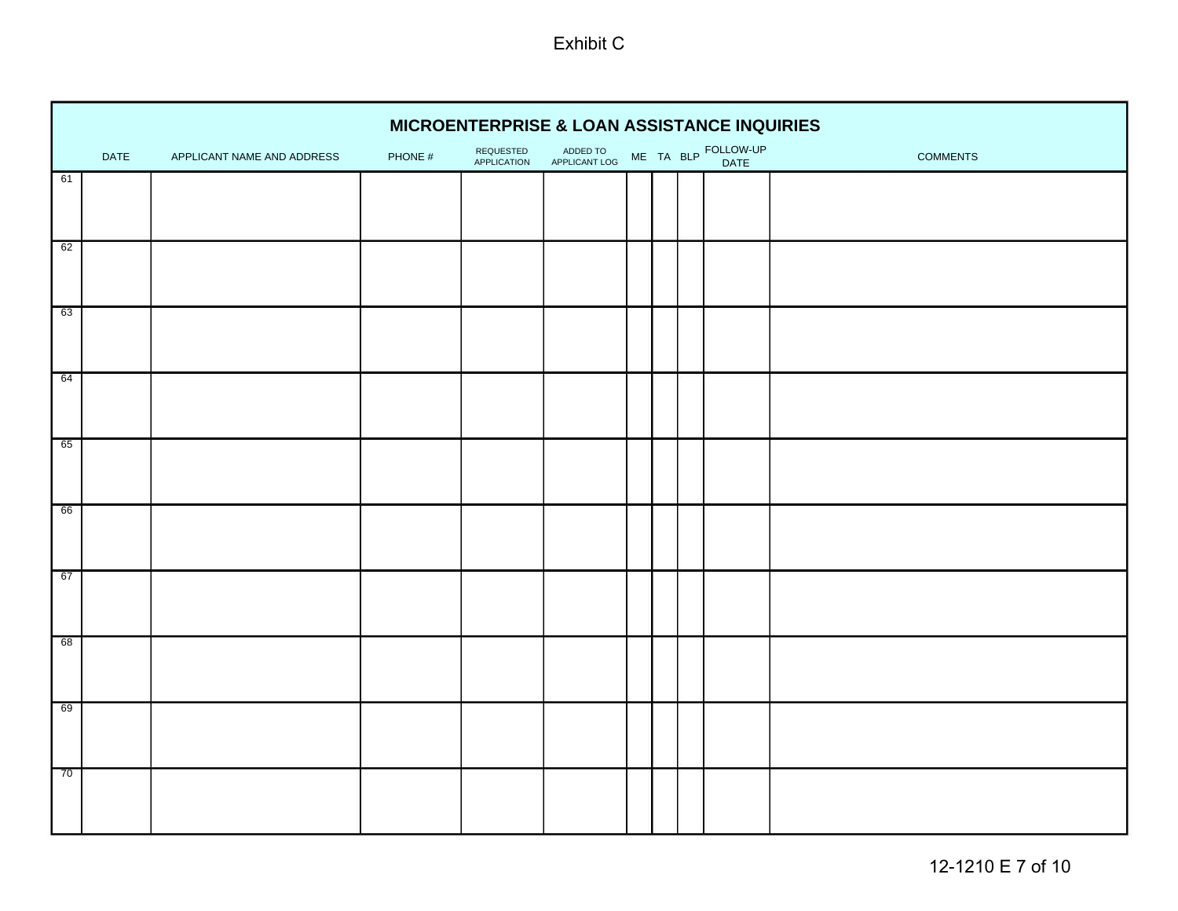|         |      |                            |         | MICROENTERPRISE & LOAN ASSISTANCE INQUIRIES |                           |  |                             |                 |
|---------|------|----------------------------|---------|---------------------------------------------|---------------------------|--|-----------------------------|-----------------|
|         | DATE | APPLICANT NAME AND ADDRESS | PHONE # | REQUESTED<br>APPLICATION                    | ADDED TO<br>APPLICANT LOG |  | ME TA BLP FOLLOW-UP<br>DATE | <b>COMMENTS</b> |
| 61      |      |                            |         |                                             |                           |  |                             |                 |
|         |      |                            |         |                                             |                           |  |                             |                 |
| 62      |      |                            |         |                                             |                           |  |                             |                 |
| г<br>63 |      |                            |         |                                             |                           |  |                             |                 |
| 64      |      |                            |         |                                             |                           |  |                             |                 |
| 65      |      |                            |         |                                             |                           |  |                             |                 |
| 66      |      |                            |         |                                             |                           |  |                             |                 |
| г<br>67 |      |                            |         |                                             |                           |  |                             |                 |
| 68      |      |                            |         |                                             |                           |  |                             |                 |
| 69<br>г |      |                            |         |                                             |                           |  |                             |                 |
| г<br>70 |      |                            |         |                                             |                           |  |                             |                 |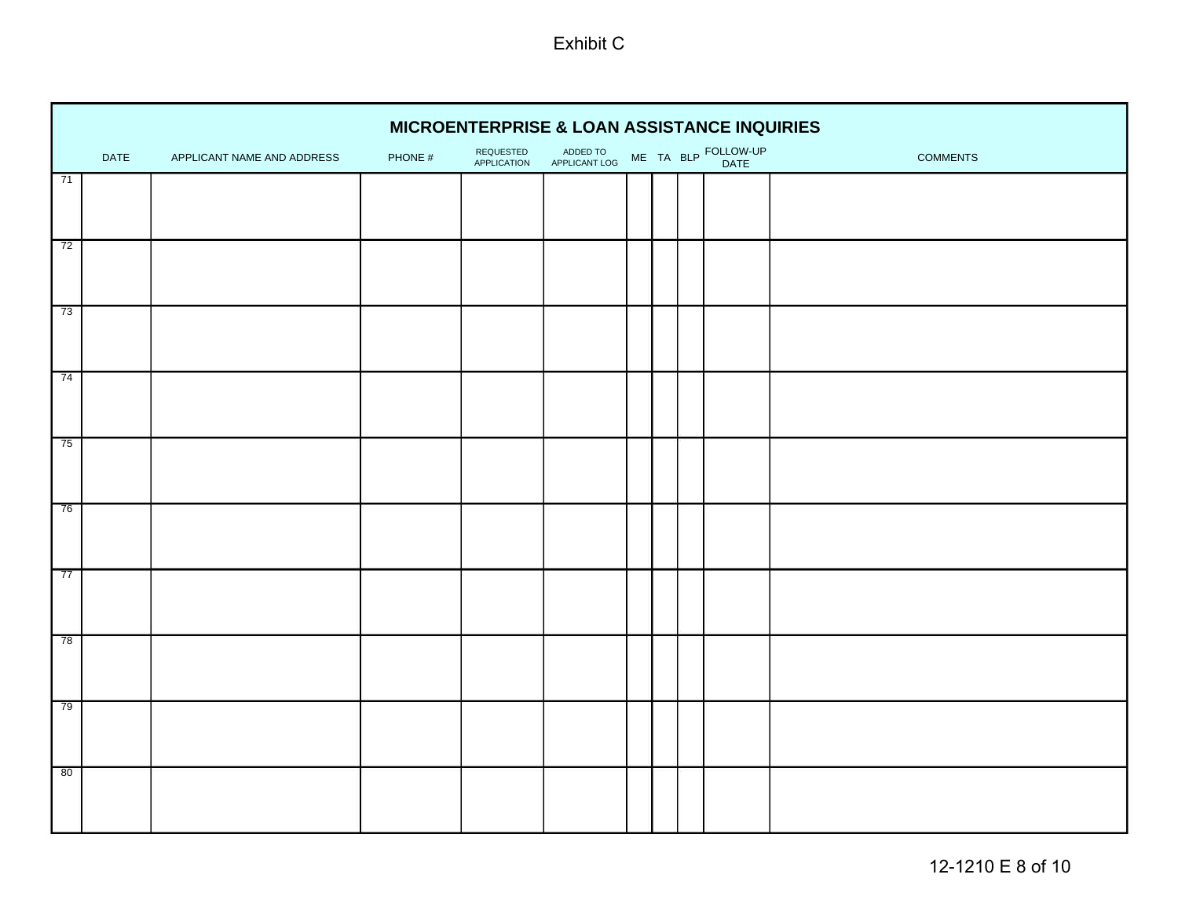|                 | MICROENTERPRISE & LOAN ASSISTANCE INQUIRIES<br>ME TA BLP FOLLOW-UP |                            |         |                                 |                           |  |  |  |      |                 |  |  |  |  |
|-----------------|--------------------------------------------------------------------|----------------------------|---------|---------------------------------|---------------------------|--|--|--|------|-----------------|--|--|--|--|
|                 | DATE                                                               | APPLICANT NAME AND ADDRESS | PHONE # | REQUESTED<br><b>APPLICATION</b> | ADDED TO<br>APPLICANT LOG |  |  |  | DATE | <b>COMMENTS</b> |  |  |  |  |
| 71              |                                                                    |                            |         |                                 |                           |  |  |  |      |                 |  |  |  |  |
|                 |                                                                    |                            |         |                                 |                           |  |  |  |      |                 |  |  |  |  |
| 72              |                                                                    |                            |         |                                 |                           |  |  |  |      |                 |  |  |  |  |
| 73              |                                                                    |                            |         |                                 |                           |  |  |  |      |                 |  |  |  |  |
| 74              |                                                                    |                            |         |                                 |                           |  |  |  |      |                 |  |  |  |  |
| 75              |                                                                    |                            |         |                                 |                           |  |  |  |      |                 |  |  |  |  |
| 76              |                                                                    |                            |         |                                 |                           |  |  |  |      |                 |  |  |  |  |
| $\overline{77}$ |                                                                    |                            |         |                                 |                           |  |  |  |      |                 |  |  |  |  |
| 78              |                                                                    |                            |         |                                 |                           |  |  |  |      |                 |  |  |  |  |
| 79              |                                                                    |                            |         |                                 |                           |  |  |  |      |                 |  |  |  |  |
| 80              |                                                                    |                            |         |                                 |                           |  |  |  |      |                 |  |  |  |  |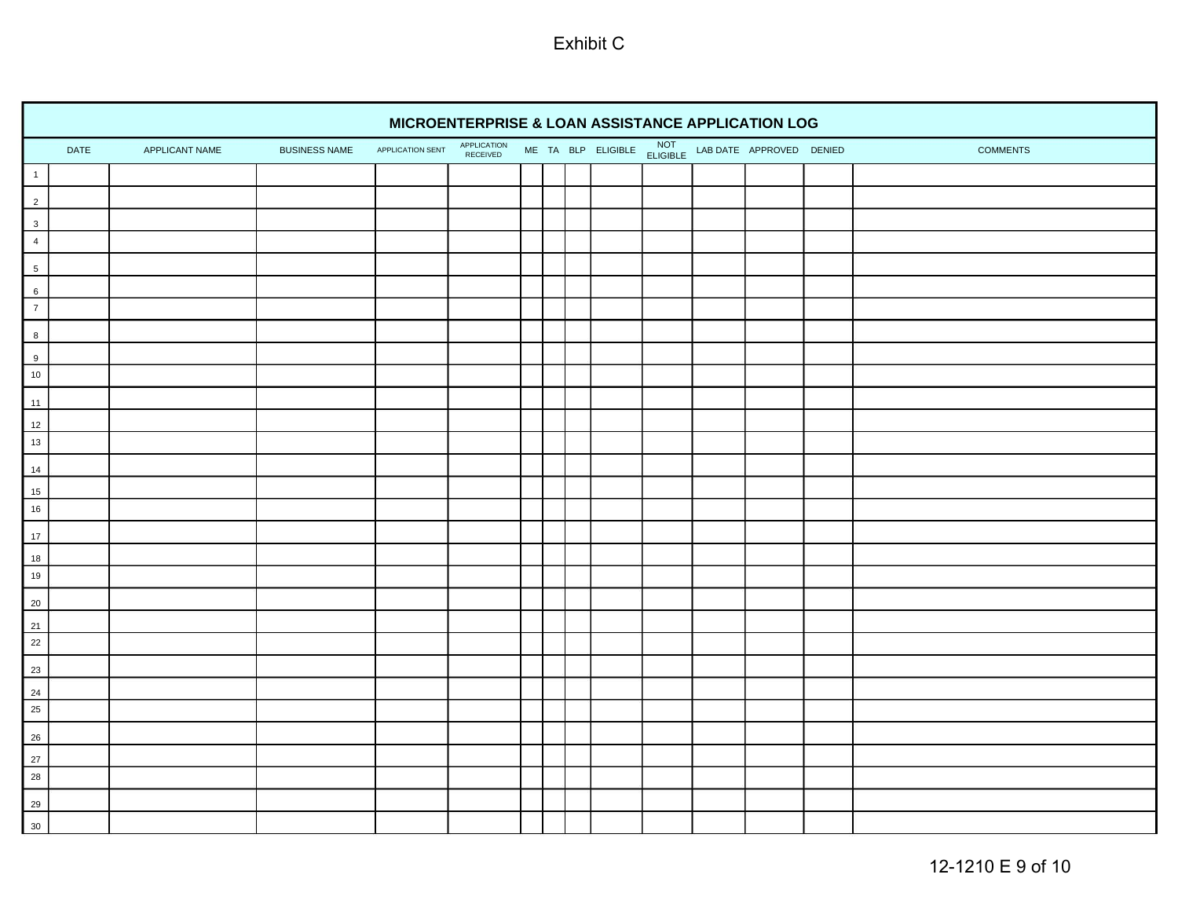|                                                               | MICROENTERPRISE & LOAN ASSISTANCE APPLICATION LOG<br>ME TA BLP ELIGIBLE NOT LAB DATE APPROVED DENIED<br>APPLICATION<br>RECEIVED<br>APPLICATION SENT<br>DATE<br>APPLICANT NAME<br><b>BUSINESS NAME</b><br><b>COMMENTS</b><br>$\begin{array}{c c} 1 \\ \hline \end{array}$<br>$\begin{array}{c c}\n2 \\ 3 \\ 4\n\end{array}$<br>$\overline{\phantom{0}}$<br>$6\overline{6}$<br>$\begin{array}{c c}\n\hline\n6 \\ 7\n\end{array}$<br>$\frac{8}{2}$<br>$\begin{array}{c c}\n\hline\n9 \\ \hline\n10\n\end{array}$<br>11<br>$\begin{array}{ c c }\n\hline\n12 \\ \hline\n13\n\end{array}$<br>14<br>$\begin{array}{ c c }\n\hline\n15 \\ \hline\n16\n\end{array}$<br>17<br>$\begin{array}{r} 18 \\ \hline 19 \end{array}$<br>$\begin{array}{r} 20 \\ 21 \\ 22 \end{array}$<br>$\frac{23}{2}$<br>$\begin{array}{ c c }\n\hline\n24 \\ \hline\n25\n\end{array}$ |  |  |  |  |  |  |  |  |  |  |  |  |
|---------------------------------------------------------------|---------------------------------------------------------------------------------------------------------------------------------------------------------------------------------------------------------------------------------------------------------------------------------------------------------------------------------------------------------------------------------------------------------------------------------------------------------------------------------------------------------------------------------------------------------------------------------------------------------------------------------------------------------------------------------------------------------------------------------------------------------------------------------------------------------------------------------------------------------|--|--|--|--|--|--|--|--|--|--|--|--|
|                                                               |                                                                                                                                                                                                                                                                                                                                                                                                                                                                                                                                                                                                                                                                                                                                                                                                                                                         |  |  |  |  |  |  |  |  |  |  |  |  |
|                                                               |                                                                                                                                                                                                                                                                                                                                                                                                                                                                                                                                                                                                                                                                                                                                                                                                                                                         |  |  |  |  |  |  |  |  |  |  |  |  |
|                                                               |                                                                                                                                                                                                                                                                                                                                                                                                                                                                                                                                                                                                                                                                                                                                                                                                                                                         |  |  |  |  |  |  |  |  |  |  |  |  |
|                                                               |                                                                                                                                                                                                                                                                                                                                                                                                                                                                                                                                                                                                                                                                                                                                                                                                                                                         |  |  |  |  |  |  |  |  |  |  |  |  |
|                                                               |                                                                                                                                                                                                                                                                                                                                                                                                                                                                                                                                                                                                                                                                                                                                                                                                                                                         |  |  |  |  |  |  |  |  |  |  |  |  |
|                                                               |                                                                                                                                                                                                                                                                                                                                                                                                                                                                                                                                                                                                                                                                                                                                                                                                                                                         |  |  |  |  |  |  |  |  |  |  |  |  |
|                                                               |                                                                                                                                                                                                                                                                                                                                                                                                                                                                                                                                                                                                                                                                                                                                                                                                                                                         |  |  |  |  |  |  |  |  |  |  |  |  |
|                                                               |                                                                                                                                                                                                                                                                                                                                                                                                                                                                                                                                                                                                                                                                                                                                                                                                                                                         |  |  |  |  |  |  |  |  |  |  |  |  |
|                                                               |                                                                                                                                                                                                                                                                                                                                                                                                                                                                                                                                                                                                                                                                                                                                                                                                                                                         |  |  |  |  |  |  |  |  |  |  |  |  |
|                                                               |                                                                                                                                                                                                                                                                                                                                                                                                                                                                                                                                                                                                                                                                                                                                                                                                                                                         |  |  |  |  |  |  |  |  |  |  |  |  |
|                                                               |                                                                                                                                                                                                                                                                                                                                                                                                                                                                                                                                                                                                                                                                                                                                                                                                                                                         |  |  |  |  |  |  |  |  |  |  |  |  |
| H                                                             |                                                                                                                                                                                                                                                                                                                                                                                                                                                                                                                                                                                                                                                                                                                                                                                                                                                         |  |  |  |  |  |  |  |  |  |  |  |  |
|                                                               |                                                                                                                                                                                                                                                                                                                                                                                                                                                                                                                                                                                                                                                                                                                                                                                                                                                         |  |  |  |  |  |  |  |  |  |  |  |  |
|                                                               |                                                                                                                                                                                                                                                                                                                                                                                                                                                                                                                                                                                                                                                                                                                                                                                                                                                         |  |  |  |  |  |  |  |  |  |  |  |  |
| ┡                                                             |                                                                                                                                                                                                                                                                                                                                                                                                                                                                                                                                                                                                                                                                                                                                                                                                                                                         |  |  |  |  |  |  |  |  |  |  |  |  |
|                                                               |                                                                                                                                                                                                                                                                                                                                                                                                                                                                                                                                                                                                                                                                                                                                                                                                                                                         |  |  |  |  |  |  |  |  |  |  |  |  |
|                                                               |                                                                                                                                                                                                                                                                                                                                                                                                                                                                                                                                                                                                                                                                                                                                                                                                                                                         |  |  |  |  |  |  |  |  |  |  |  |  |
| H                                                             |                                                                                                                                                                                                                                                                                                                                                                                                                                                                                                                                                                                                                                                                                                                                                                                                                                                         |  |  |  |  |  |  |  |  |  |  |  |  |
|                                                               |                                                                                                                                                                                                                                                                                                                                                                                                                                                                                                                                                                                                                                                                                                                                                                                                                                                         |  |  |  |  |  |  |  |  |  |  |  |  |
|                                                               |                                                                                                                                                                                                                                                                                                                                                                                                                                                                                                                                                                                                                                                                                                                                                                                                                                                         |  |  |  |  |  |  |  |  |  |  |  |  |
| H                                                             |                                                                                                                                                                                                                                                                                                                                                                                                                                                                                                                                                                                                                                                                                                                                                                                                                                                         |  |  |  |  |  |  |  |  |  |  |  |  |
|                                                               |                                                                                                                                                                                                                                                                                                                                                                                                                                                                                                                                                                                                                                                                                                                                                                                                                                                         |  |  |  |  |  |  |  |  |  |  |  |  |
|                                                               |                                                                                                                                                                                                                                                                                                                                                                                                                                                                                                                                                                                                                                                                                                                                                                                                                                                         |  |  |  |  |  |  |  |  |  |  |  |  |
|                                                               |                                                                                                                                                                                                                                                                                                                                                                                                                                                                                                                                                                                                                                                                                                                                                                                                                                                         |  |  |  |  |  |  |  |  |  |  |  |  |
|                                                               |                                                                                                                                                                                                                                                                                                                                                                                                                                                                                                                                                                                                                                                                                                                                                                                                                                                         |  |  |  |  |  |  |  |  |  |  |  |  |
| ┝                                                             |                                                                                                                                                                                                                                                                                                                                                                                                                                                                                                                                                                                                                                                                                                                                                                                                                                                         |  |  |  |  |  |  |  |  |  |  |  |  |
| $\frac{26}{5}$                                                |                                                                                                                                                                                                                                                                                                                                                                                                                                                                                                                                                                                                                                                                                                                                                                                                                                                         |  |  |  |  |  |  |  |  |  |  |  |  |
|                                                               |                                                                                                                                                                                                                                                                                                                                                                                                                                                                                                                                                                                                                                                                                                                                                                                                                                                         |  |  |  |  |  |  |  |  |  |  |  |  |
| $\begin{array}{ c c }\n\hline\n27 \\ \hline\n28\n\end{array}$ |                                                                                                                                                                                                                                                                                                                                                                                                                                                                                                                                                                                                                                                                                                                                                                                                                                                         |  |  |  |  |  |  |  |  |  |  |  |  |
| ┡                                                             |                                                                                                                                                                                                                                                                                                                                                                                                                                                                                                                                                                                                                                                                                                                                                                                                                                                         |  |  |  |  |  |  |  |  |  |  |  |  |
| $\begin{array}{r} 29 \\ 30 \end{array}$                       |                                                                                                                                                                                                                                                                                                                                                                                                                                                                                                                                                                                                                                                                                                                                                                                                                                                         |  |  |  |  |  |  |  |  |  |  |  |  |